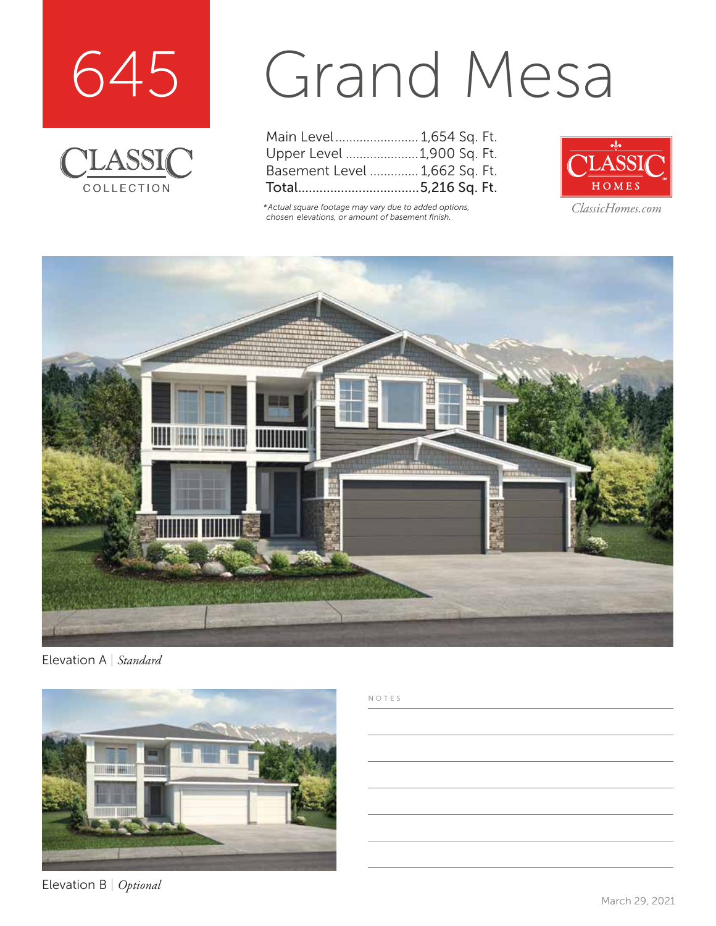



## Grand Mesa

| Main Level 1,654 Sq. Ft.      |  |  |
|-------------------------------|--|--|
| Upper Level 1,900 Sq. Ft.     |  |  |
| Basement Level  1,662 Sq. Ft. |  |  |
|                               |  |  |

*\*Actual square footage may vary due to added options, chosen elevations, or amount of basement finish.*



*ClassicHomes.com*



Elevation A | *Standard*



Elevation B | *Optional*

## NOTES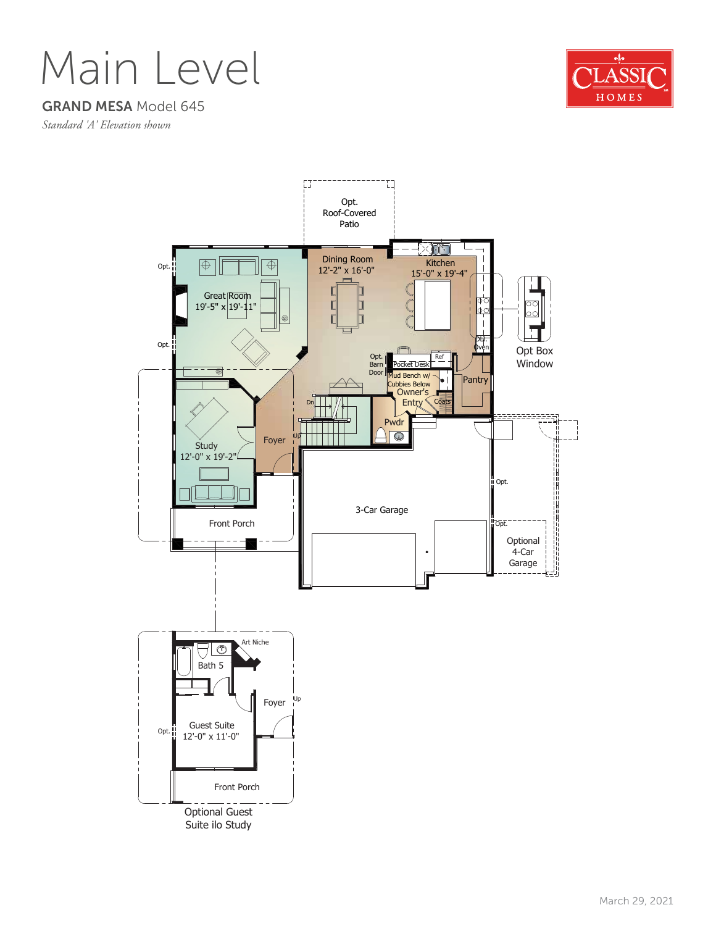Main Level



GRAND MESA Model 645

*Standard 'A' Elevation shown*

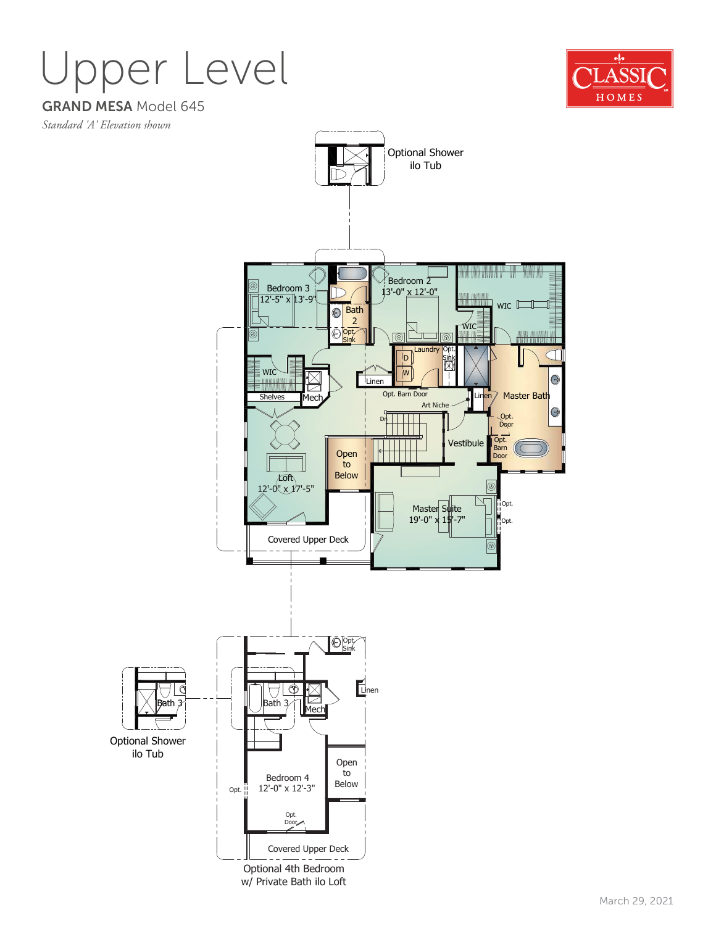## Upper Level



GRAND MESA Model 645

*Standard 'A' Elevation shown*